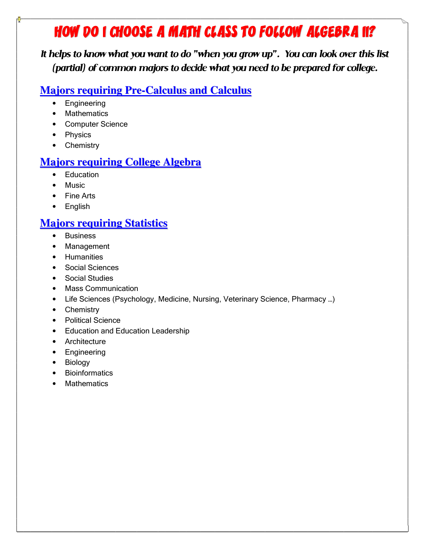# HOW DO I CHOOSE A MATH CLASS TO FOLLOW ALGEBRA II?

It helps to know what you want to do "when you grow up". You can look over this list (partial) of common majors to decide what you need to be prepared for college.

#### **Majors requiring Pre-Calculus and Calculus**

- Engineering
- Mathematics
- Computer Science
- Physics
- Chemistry

### **Majors requiring College Algebra**

- Education
- Music
- Fine Arts
- English

## **Majors requiring Statistics**

- Business
- Management
- Humanities
- Social Sciences
- Social Studies
- Mass Communication
- Life Sciences (Psychology, Medicine, Nursing, Veterinary Science, Pharmacy …)
- Chemistry
- Political Science
- Education and Education Leadership
- Architecture
- Engineering
- Biology
- Bioinformatics
- Mathematics